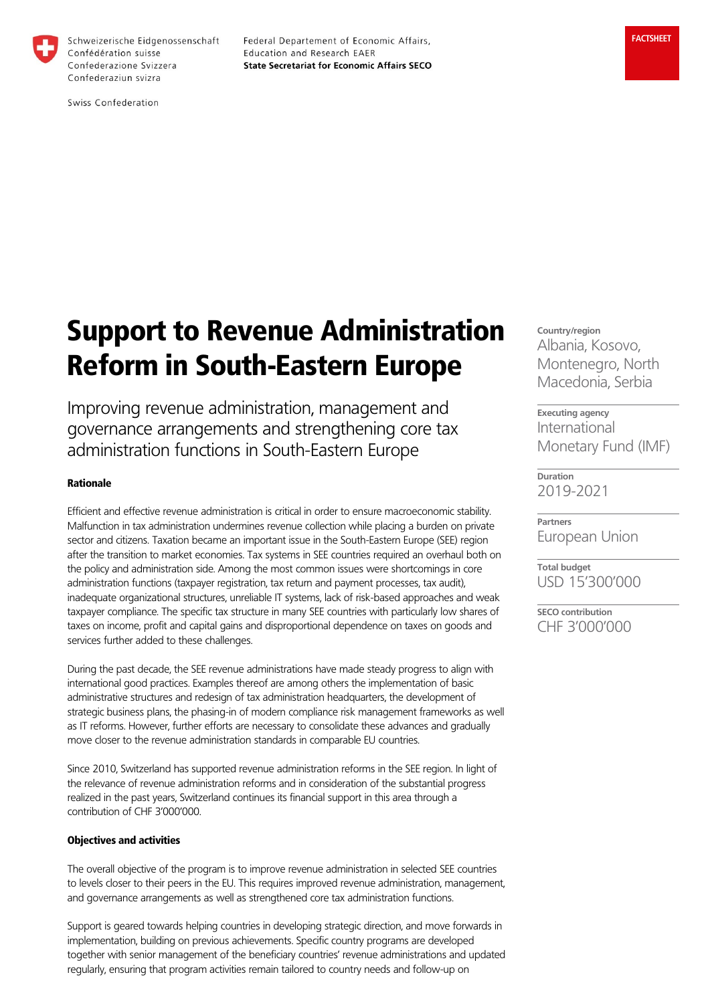

Schweizerische Eidgenossenschaft Confédération suisse Confederazione Svizzera Confederaziun svizra

Federal Departement of Economic Affairs, Education and Research EAER **State Secretariat for Economic Affairs SECO** 

Swiss Confederation

# Support to Revenue Administration Reform in South-Eastern Europe

Improving revenue administration, management and governance arrangements and strengthening core tax administration functions in South-Eastern Europe

## Rationale

Efficient and effective revenue administration is critical in order to ensure macroeconomic stability. Malfunction in tax administration undermines revenue collection while placing a burden on private sector and citizens. Taxation became an important issue in the South-Eastern Europe (SEE) region after the transition to market economies. Tax systems in SEE countries required an overhaul both on the policy and administration side. Among the most common issues were shortcomings in core administration functions (taxpayer registration, tax return and payment processes, tax audit), inadequate organizational structures, unreliable IT systems, lack of risk-based approaches and weak taxpayer compliance. The specific tax structure in many SEE countries with particularly low shares of taxes on income, profit and capital gains and disproportional dependence on taxes on goods and services further added to these challenges.

During the past decade, the SEE revenue administrations have made steady progress to align with international good practices. Examples thereof are among others the implementation of basic administrative structures and redesign of tax administration headquarters, the development of strategic business plans, the phasing-in of modern compliance risk management frameworks as well as IT reforms. However, further efforts are necessary to consolidate these advances and gradually move closer to the revenue administration standards in comparable EU countries.

Since 2010, Switzerland has supported revenue administration reforms in the SEE region. In light of the relevance of revenue administration reforms and in consideration of the substantial progress realized in the past years, Switzerland continues its financial support in this area through a contribution of CHF 3'000'000.

### Objectives and activities

The overall objective of the program is to improve revenue administration in selected SEE countries to levels closer to their peers in the EU. This requires improved revenue administration, management, and governance arrangements as well as strengthened core tax administration functions.

Support is geared towards helping countries in developing strategic direction, and move forwards in implementation, building on previous achievements. Specific country programs are developed together with senior management of the beneficiary countries' revenue administrations and updated regularly, ensuring that program activities remain tailored to country needs and follow-up on

**Country/region** Albania, Kosovo, Montenegro, North Macedonia, Serbia

**Executing agency** International Monetary Fund (IMF)

**Duration** 2019-2021

**Partners** European Union

**Total budget** USD 15'300'000

**SECO contribution** CHF 3'000'000